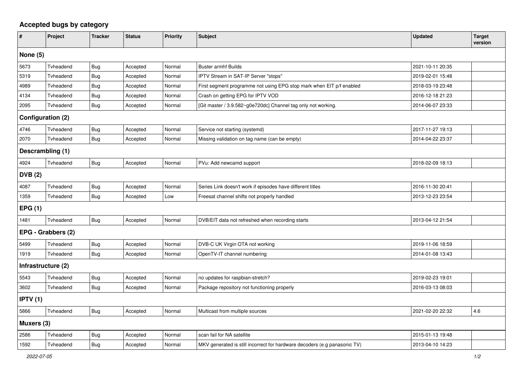## **Accepted bugs by category**

| #                  | Project            | <b>Tracker</b> | <b>Status</b> | <b>Priority</b> | <b>Subject</b>                                                            | <b>Updated</b>   | <b>Target</b><br>version |  |  |  |
|--------------------|--------------------|----------------|---------------|-----------------|---------------------------------------------------------------------------|------------------|--------------------------|--|--|--|
| None $(5)$         |                    |                |               |                 |                                                                           |                  |                          |  |  |  |
| 5673               | Tvheadend          | <b>Bug</b>     | Accepted      | Normal          | <b>Buster armhf Builds</b>                                                | 2021-10-11 20:35 |                          |  |  |  |
| 5319               | Tvheadend          | Bug            | Accepted      | Normal          | IPTV Stream in SAT-IP Server "stops"                                      | 2019-02-01 15:48 |                          |  |  |  |
| 4989               | Tvheadend          | Bug            | Accepted      | Normal          | First segment programme not using EPG stop mark when EIT p/f enabled      | 2018-03-19 23:48 |                          |  |  |  |
| 4134               | Tvheadend          | Bug            | Accepted      | Normal          | Crash on getting EPG for IPTV VOD                                         | 2016-12-18 21:23 |                          |  |  |  |
| 2095               | Tvheadend          | Bug            | Accepted      | Normal          | [Git master / 3.9.582~g0e720dc] Channel tag only not working.             | 2014-06-07 23:33 |                          |  |  |  |
| Configuration (2)  |                    |                |               |                 |                                                                           |                  |                          |  |  |  |
| 4746               | Tvheadend          | <b>Bug</b>     | Accepted      | Normal          | Service not starting (systemd)                                            | 2017-11-27 19:13 |                          |  |  |  |
| 2070               | Tvheadend          | Bug            | Accepted      | Normal          | Missing validation on tag name (can be empty)                             | 2014-04-22 23:37 |                          |  |  |  |
| Descrambling (1)   |                    |                |               |                 |                                                                           |                  |                          |  |  |  |
| 4924               | Tvheadend          | Bug            | Accepted      | Normal          | PVu: Add newcamd support                                                  | 2018-02-09 18:13 |                          |  |  |  |
| <b>DVB</b> (2)     |                    |                |               |                 |                                                                           |                  |                          |  |  |  |
| 4087               | Tvheadend          | Bug            | Accepted      | Normal          | Series Link doesn't work if episodes have different titles                | 2016-11-30 20:41 |                          |  |  |  |
| 1359               | Tvheadend          | <b>Bug</b>     | Accepted      | Low             | Freesat channel shifts not properly handled                               | 2013-12-23 23:54 |                          |  |  |  |
| EPG(1)             |                    |                |               |                 |                                                                           |                  |                          |  |  |  |
| 1481               | Tvheadend          | Bug            | Accepted      | Normal          | DVB/EIT data not refreshed when recording starts                          | 2013-04-12 21:54 |                          |  |  |  |
| EPG - Grabbers (2) |                    |                |               |                 |                                                                           |                  |                          |  |  |  |
| 5499               | Tvheadend          | Bug            | Accepted      | Normal          | DVB-C UK Virgin OTA not working                                           | 2019-11-06 18:59 |                          |  |  |  |
| 1919               | Tvheadend          | Bug            | Accepted      | Normal          | OpenTV-IT channel numbering                                               | 2014-01-08 13:43 |                          |  |  |  |
|                    | Infrastructure (2) |                |               |                 |                                                                           |                  |                          |  |  |  |
| 5543               | Tvheadend          | <b>Bug</b>     | Accepted      | Normal          | no updates for raspbian-stretch?                                          | 2019-02-23 19:01 |                          |  |  |  |
| 3602               | Tvheadend          | <b>Bug</b>     | Accepted      | Normal          | Package repository not functioning properly                               | 2016-03-13 08:03 |                          |  |  |  |
| <b>IPTV</b> (1)    |                    |                |               |                 |                                                                           |                  |                          |  |  |  |
| 5866               | Tvheadend          | <b>Bug</b>     | Accepted      | Normal          | Multicast from multiple sources                                           | 2021-02-20 22:32 | 4.6                      |  |  |  |
| Muxers (3)         |                    |                |               |                 |                                                                           |                  |                          |  |  |  |
| 2586               | Tvheadend          | Bug            | Accepted      | Normal          | scan fail for NA satellite                                                | 2015-01-13 19:48 |                          |  |  |  |
| 1592               | Tvheadend          | <b>Bug</b>     | Accepted      | Normal          | MKV generated is still incorrect for hardware decoders (e.g panasonic TV) | 2013-04-10 14:23 |                          |  |  |  |